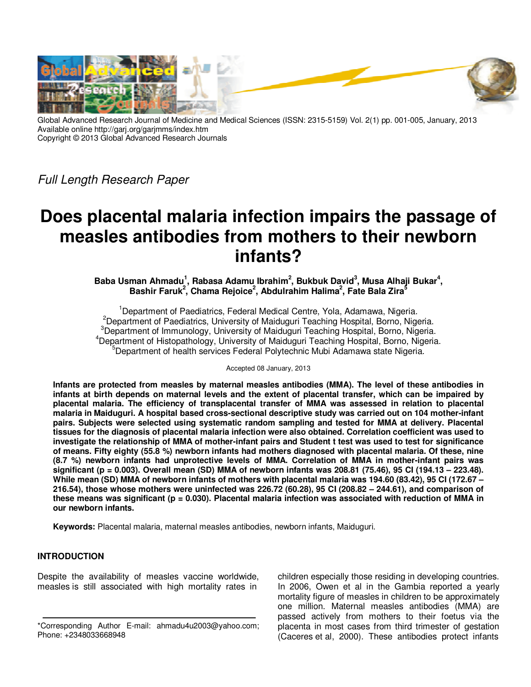

Global Advanced Research Journal of Medicine and Medical Sciences (ISSN: 2315-5159) Vol. 2(1) pp. 001-005, January, 2013 Available online http://garj.org/garjmms/index.htm Copyright © 2013 Global Advanced Research Journals

Full Length Research Paper

# **Does placental malaria infection impairs the passage of measles antibodies from mothers to their newborn infants?**

Baba Usman Ahmadu<sup>1</sup>, Rabasa Adamu Ibrahim<sup>2</sup>, Bukbuk David<sup>3</sup>, Musa Alhaji Bukar<sup>4</sup>, **Bashir Faruk<sup>2</sup> , Chama Rejoice<sup>2</sup> , Abdulrahim Halima<sup>2</sup> , Fate Bala Zira<sup>5</sup>**

<sup>1</sup>Department of Paediatrics, Federal Medical Centre, Yola, Adamawa, Nigeria. <sup>2</sup>Department of Paediatrics, University of Maiduguri Teaching Hospital, Borno, Nigeria. <sup>3</sup>Department of Immunology, University of Maiduguri Teaching Hospital, Borno, Nigeria. <sup>4</sup>Department of Histopathology, University of Maiduguri Teaching Hospital, Borno, Nigeria. <sup>5</sup>Department of health services Federal Polytechnic Mubi Adamawa state Nigeria.

Accepted 08 January, 2013

**Infants are protected from measles by maternal measles antibodies (MMA). The level of these antibodies in infants at birth depends on maternal levels and the extent of placental transfer, which can be impaired by placental malaria. The efficiency of transplacental transfer of MMA was assessed in relation to placental malaria in Maiduguri. A hospital based cross-sectional descriptive study was carried out on 104 mother-infant pairs. Subjects were selected using systematic random sampling and tested for MMA at delivery. Placental tissues for the diagnosis of placental malaria infection were also obtained. Correlation coefficient was used to investigate the relationship of MMA of mother-infant pairs and Student t test was used to test for significance of means. Fifty eighty (55.8 %) newborn infants had mothers diagnosed with placental malaria. Of these, nine (8.7 %) newborn infants had unprotective levels of MMA. Correlation of MMA in mother-infant pairs was significant (p = 0.003). Overall mean (SD) MMA of newborn infants was 208.81 (75.46), 95 CI (194.13 – 223.48). While mean (SD) MMA of newborn infants of mothers with placental malaria was 194.60 (83.42), 95 CI (172.67 – 216.54), those whose mothers were uninfected was 226.72 (60.28), 95 CI (208.82 – 244.61), and comparison of these means was significant (p = 0.030). Placental malaria infection was associated with reduction of MMA in our newborn infants.** 

**Keywords:** Placental malaria, maternal measles antibodies, newborn infants, Maiduguri.

## **INTRODUCTION**

Despite the availability of measles vaccine worldwide, measles is still associated with high mortality rates in

children especially those residing in developing countries. In 2006, Owen et al in the Gambia reported a yearly mortality figure of measles in children to be approximately one million. Maternal measles antibodies (MMA) are passed actively from mothers to their foetus via the placenta in most cases from third trimester of gestation (Caceres et al, 2000). These antibodies protect infants

<sup>\*</sup>Corresponding Author E-mail: ahmadu4u2003@yahoo.com; Phone: +2348033668948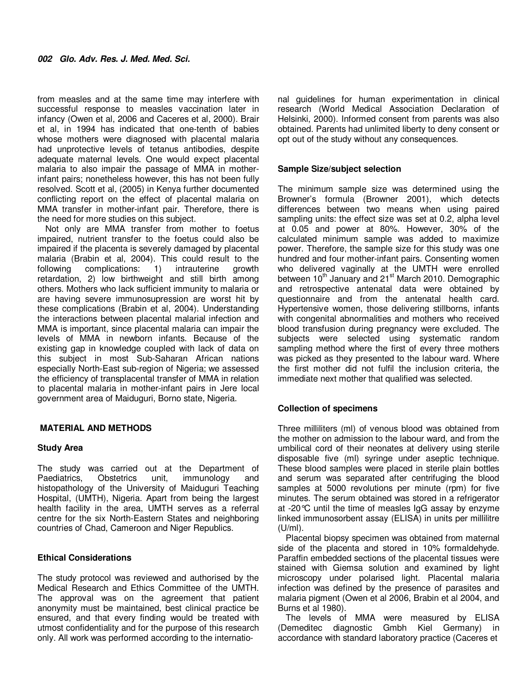from measles and at the same time may interfere with successful response to measles vaccination later in infancy (Owen et al, 2006 and Caceres et al, 2000). Brair et al, in 1994 has indicated that one-tenth of babies whose mothers were diagnosed with placental malaria had unprotective levels of tetanus antibodies, despite adequate maternal levels. One would expect placental malaria to also impair the passage of MMA in motherinfant pairs; nonetheless however, this has not been fully resolved. Scott et al, (2005) in Kenya further documented conflicting report on the effect of placental malaria on MMA transfer in mother-infant pair. Therefore, there is the need for more studies on this subject.

Not only are MMA transfer from mother to foetus impaired, nutrient transfer to the foetus could also be impaired if the placenta is severely damaged by placental malaria (Brabin et al, 2004). This could result to the following complications: 1) intrauterine growth retardation, 2) low birthweight and still birth among others. Mothers who lack sufficient immunity to malaria or are having severe immunosupression are worst hit by these complications (Brabin et al, 2004). Understanding the interactions between placental malarial infection and MMA is important, since placental malaria can impair the levels of MMA in newborn infants. Because of the existing gap in knowledge coupled with lack of data on this subject in most Sub-Saharan African nations especially North-East sub-region of Nigeria; we assessed the efficiency of transplacental transfer of MMA in relation to placental malaria in mother-infant pairs in Jere local government area of Maiduguri, Borno state, Nigeria.

### **MATERIAL AND METHODS**

#### **Study Area**

The study was carried out at the Department of Paediatrics, Obstetrics unit, immunology and histopathology of the University of Maiduguri Teaching Hospital, (UMTH), Nigeria. Apart from being the largest health facility in the area, UMTH serves as a referral centre for the six North-Eastern States and neighboring countries of Chad, Cameroon and Niger Republics.

### **Ethical Considerations**

The study protocol was reviewed and authorised by the Medical Research and Ethics Committee of the UMTH. The approval was on the agreement that patient anonymity must be maintained, best clinical practice be ensured, and that every finding would be treated with utmost confidentiality and for the purpose of this research only. All work was performed according to the international guidelines for human experimentation in clinical research (World Medical Association Declaration of Helsinki, 2000). Informed consent from parents was also obtained. Parents had unlimited liberty to deny consent or opt out of the study without any consequences.

#### **Sample Size/subject selection**

The minimum sample size was determined using the Browner's formula (Browner 2001), which detects differences between two means when using paired sampling units: the effect size was set at 0.2, alpha level at 0.05 and power at 80%. However, 30% of the calculated minimum sample was added to maximize power. Therefore, the sample size for this study was one hundred and four mother-infant pairs. Consenting women who delivered vaginally at the UMTH were enrolled between 10<sup>th</sup> January and 21<sup>st</sup> March 2010. Demographic and retrospective antenatal data were obtained by questionnaire and from the antenatal health card. Hypertensive women, those delivering stillborns, infants with congenital abnormalities and mothers who received blood transfusion during pregnancy were excluded. The subjects were selected using systematic random sampling method where the first of every three mothers was picked as they presented to the labour ward. Where the first mother did not fulfil the inclusion criteria, the immediate next mother that qualified was selected.

### **Collection of specimens**

Three milliliters (ml) of venous blood was obtained from the mother on admission to the labour ward, and from the umbilical cord of their neonates at delivery using sterile disposable five (ml) syringe under aseptic technique. These blood samples were placed in sterile plain bottles and serum was separated after centrifuging the blood samples at 5000 revolutions per minute (rpm) for five minutes. The serum obtained was stored in a refrigerator at -20°C until the time of measles IgG assay by enzyme linked immunosorbent assay (ELISA) in units per millilitre (U/ml).

Placental biopsy specimen was obtained from maternal side of the placenta and stored in 10% formaldehyde. Paraffin embedded sections of the placental tissues were stained with Giemsa solution and examined by light microscopy under polarised light. Placental malaria infection was defined by the presence of parasites and malaria pigment (Owen et al 2006, Brabin et al 2004, and Burns et al 1980).

The levels of MMA were measured by ELISA (Demeditec diagnostic Gmbh Kiel Germany) in accordance with standard laboratory practice (Caceres et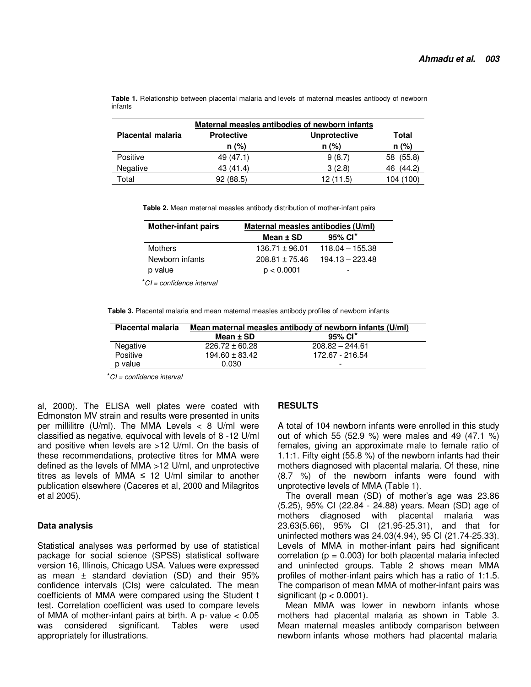**Table 1.** Relationship between placental malaria and levels of maternal measles antibody of newborn infants

|                          | Maternal measles antibodies of newborn infants |                     |              |
|--------------------------|------------------------------------------------|---------------------|--------------|
| <b>Placental malaria</b> | <b>Protective</b>                              | <b>Unprotective</b> | Total        |
|                          | $n$ (%)                                        | $n (\%)$            | $n (\%)$     |
| Positive                 | 49 (47.1)                                      | 9(8.7)              | 58 (55.8)    |
| Negative                 | 43 (41.4)                                      | 3(2.8)              | (44.2)<br>46 |
| Total                    | 92(88.5)                                       | 12(11.5)            | 104 (100)    |

**Table 2.** Mean maternal measles antibody distribution of mother-infant pairs

| <b>Mother-infant pairs</b> | Maternal measles antibodies (U/ml) |                        |
|----------------------------|------------------------------------|------------------------|
|                            | Mean $±$ SD                        | $95\%$ CI <sup>*</sup> |
| <b>Mothers</b>             | $136.71 \pm 96.01$                 | $118.04 - 155.38$      |
| Newborn infants            | $208.81 \pm 75.46$                 | $194.13 - 223.48$      |
| p value                    | p < 0.0001                         | -                      |
|                            |                                    |                        |

*⃰* CI = confidence interval

**Table 3.** Placental malaria and mean maternal measles antibody profiles of newborn infants

| <b>Placental malaria</b> | Mean maternal measles antibody of newborn infants (U/ml) |                   |  |
|--------------------------|----------------------------------------------------------|-------------------|--|
|                          | Mean ± SD                                                | 95% CI*           |  |
| Negative                 | $226.72 \pm 60.28$                                       | $208.82 - 244.61$ |  |
| Positive                 | $194.60 \pm 83.42$                                       | 172.67 - 216.54   |  |
| p value                  | 0.030                                                    | -                 |  |

*⃰* CI = confidence interval

al, 2000). The ELISA well plates were coated with Edmonston MV strain and results were presented in units per millilitre (U/ml). The MMA Levels  $<$  8 U/ml were classified as negative, equivocal with levels of 8 -12 U/ml and positive when levels are >12 U/ml. On the basis of these recommendations, protective titres for MMA were defined as the levels of MMA >12 U/ml, and unprotective titres as levels of MMA  $\leq$  12 U/ml similar to another publication elsewhere (Caceres et al, 2000 and Milagritos et al 2005).

#### **Data analysis**

Statistical analyses was performed by use of statistical package for social science (SPSS) statistical software version 16, Illinois, Chicago USA. Values were expressed as mean ± standard deviation (SD) and their 95% confidence intervals (CIs) were calculated. The mean coefficients of MMA were compared using the Student t test. Correlation coefficient was used to compare levels of MMA of mother-infant pairs at birth. A  $p$ - value  $< 0.05$ was considered significant. Tables were used appropriately for illustrations.

#### **RESULTS**

A total of 104 newborn infants were enrolled in this study out of which 55 (52.9 %) were males and 49 (47.1 %) females, giving an approximate male to female ratio of 1.1:1. Fifty eight (55.8 %) of the newborn infants had their mothers diagnosed with placental malaria. Of these, nine (8.7 %) of the newborn infants were found with unprotective levels of MMA (Table 1).

The overall mean (SD) of mother's age was 23.86 (5.25), 95% CI (22.84 - 24.88) years. Mean (SD) age of mothers diagnosed with placental malaria was 23.63(5.66), 95% CI (21.95-25.31), and that for uninfected mothers was 24.03(4.94), 95 CI (21.74-25.33). Levels of MMA in mother-infant pairs had significant correlation ( $p = 0.003$ ) for both placental malaria infected and uninfected groups. Table 2 shows mean MMA profiles of mother-infant pairs which has a ratio of 1:1.5. The comparison of mean MMA of mother-infant pairs was significant ( $p < 0.0001$ ).

Mean MMA was lower in newborn infants whose mothers had placental malaria as shown in Table 3. Mean maternal measles antibody comparison between newborn infants whose mothers had placental malaria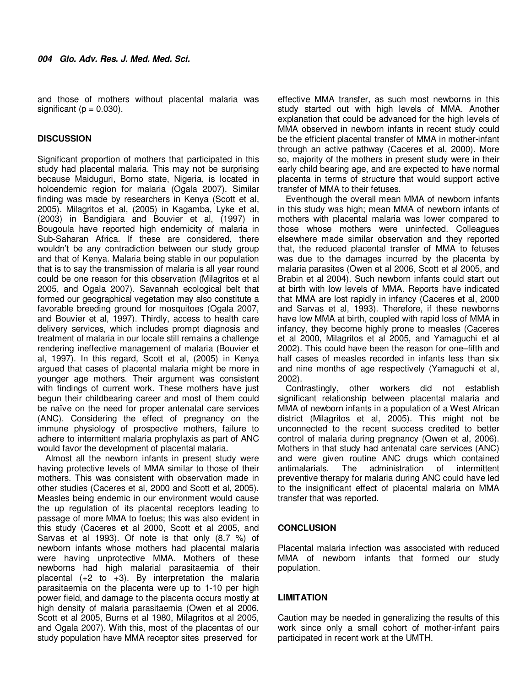and those of mothers without placental malaria was significant ( $p = 0.030$ ).

## **DISCUSSION**

Significant proportion of mothers that participated in this study had placental malaria. This may not be surprising because Maiduguri, Borno state, Nigeria, is located in holoendemic region for malaria (Ogala 2007). Similar finding was made by researchers in Kenya (Scott et al, 2005). Milagritos et al, (2005) in Kagamba, Lyke et al, (2003) in Bandigiara and Bouvier et al, (1997) in Bougoula have reported high endemicity of malaria in Sub-Saharan Africa. If these are considered, there wouldn't be any contradiction between our study group and that of Kenya. Malaria being stable in our population that is to say the transmission of malaria is all year round could be one reason for this observation (Milagritos et al 2005, and Ogala 2007). Savannah ecological belt that formed our geographical vegetation may also constitute a favorable breeding ground for mosquitoes (Ogala 2007, and Bouvier et al, 1997). Thirdly, access to health care delivery services, which includes prompt diagnosis and treatment of malaria in our locale still remains a challenge rendering ineffective management of malaria (Bouvier et al, 1997). In this regard, Scott et al, (2005) in Kenya argued that cases of placental malaria might be more in younger age mothers. Their argument was consistent with findings of current work. These mothers have just begun their childbearing career and most of them could be naïve on the need for proper antenatal care services (ANC). Considering the effect of pregnancy on the immune physiology of prospective mothers, failure to adhere to intermittent malaria prophylaxis as part of ANC would favor the development of placental malaria.

Almost all the newborn infants in present study were having protective levels of MMA similar to those of their mothers. This was consistent with observation made in other studies (Caceres et al, 2000 and Scott et al, 2005). Measles being endemic in our environment would cause the up regulation of its placental receptors leading to passage of more MMA to foetus; this was also evident in this study (Caceres et al 2000, Scott et al 2005, and Sarvas et al 1993). Of note is that only (8.7 %) of newborn infants whose mothers had placental malaria were having unprotective MMA. Mothers of these newborns had high malarial parasitaemia of their placental  $(+2 \text{ to } +3)$ . By interpretation the malaria parasitaemia on the placenta were up to 1-10 per high power field, and damage to the placenta occurs mostly at high density of malaria parasitaemia (Owen et al 2006, Scott et al 2005, Burns et al 1980, Milagritos et al 2005, and Ogala 2007). With this, most of the placentas of our study population have MMA receptor sites preserved for

effective MMA transfer, as such most newborns in this study started out with high levels of MMA. Another explanation that could be advanced for the high levels of MMA observed in newborn infants in recent study could be the efficient placental transfer of MMA in mother-infant through an active pathway (Caceres et al, 2000). More so, majority of the mothers in present study were in their early child bearing age, and are expected to have normal placenta in terms of structure that would support active transfer of MMA to their fetuses.

Eventhough the overall mean MMA of newborn infants in this study was high; mean MMA of newborn infants of mothers with placental malaria was lower compared to those whose mothers were uninfected. Colleagues elsewhere made similar observation and they reported that, the reduced placental transfer of MMA to fetuses was due to the damages incurred by the placenta by malaria parasites (Owen et al 2006, Scott et al 2005, and Brabin et al 2004). Such newborn infants could start out at birth with low levels of MMA. Reports have indicated that MMA are lost rapidly in infancy (Caceres et al, 2000 and Sarvas et al, 1993). Therefore, if these newborns have low MMA at birth, coupled with rapid loss of MMA in infancy, they become highly prone to measles (Caceres et al 2000, Milagritos et al 2005, and Yamaguchi et al 2002). This could have been the reason for one–fifth and half cases of measles recorded in infants less than six and nine months of age respectively (Yamaguchi et al, 2002).

Contrastingly, other workers did not establish significant relationship between placental malaria and MMA of newborn infants in a population of a West African district (Milagritos et al, 2005). This might not be unconnected to the recent success credited to better control of malaria during pregnancy (Owen et al, 2006). Mothers in that study had antenatal care services (ANC) and were given routine ANC drugs which contained antimalarials. The administration of intermittent preventive therapy for malaria during ANC could have led to the insignificant effect of placental malaria on MMA transfer that was reported.

## **CONCLUSION**

Placental malaria infection was associated with reduced MMA of newborn infants that formed our study population.

## **LIMITATION**

Caution may be needed in generalizing the results of this work since only a small cohort of mother-infant pairs participated in recent work at the UMTH.